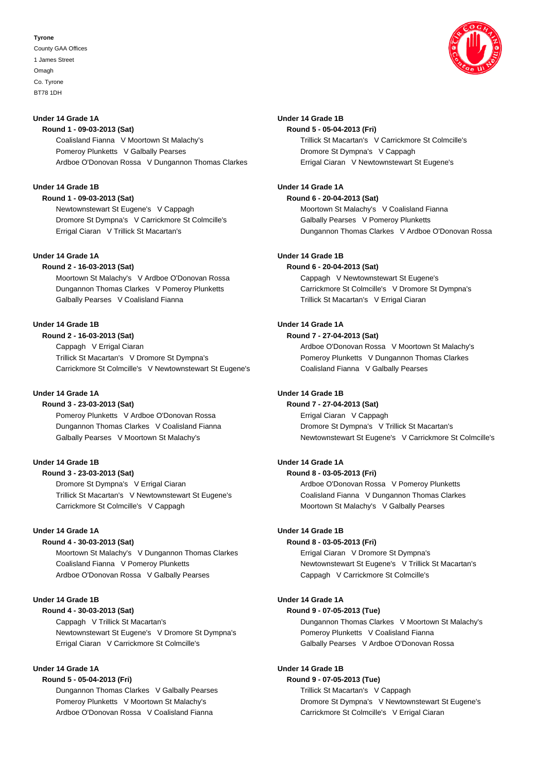### **Tyrone**

County GAA Offices 1 James Street Omagh Co. Tyrone BT78 1DH



### **Under 14 Grade 1A**

**Round 1 - 09-03-2013 (Sat)** Coalisland Fianna V Moortown St Malachy's Pomeroy Plunketts V Galbally Pearses Ardboe O'Donovan Rossa V Dungannon Thomas Clarkes

## **Under 14 Grade 1B**

**Round 1 - 09-03-2013 (Sat)**

Newtownstewart St Eugene's V Cappagh Dromore St Dympna's V Carrickmore St Colmcille's Errigal Ciaran V Trillick St Macartan's

## **Under 14 Grade 1A**

**Round 2 - 16-03-2013 (Sat)** Moortown St Malachy's V Ardboe O'Donovan Rossa Dungannon Thomas Clarkes V Pomeroy Plunketts Galbally Pearses V Coalisland Fianna

## **Under 14 Grade 1B**

**Round 2 - 16-03-2013 (Sat)** Cappagh V Errigal Ciaran Trillick St Macartan's V Dromore St Dympna's Carrickmore St Colmcille's V Newtownstewart St Eugene's

### **Under 14 Grade 1A**

**Round 3 - 23-03-2013 (Sat)** Pomeroy Plunketts V Ardboe O'Donovan Rossa

Dungannon Thomas Clarkes V Coalisland Fianna Galbally Pearses V Moortown St Malachy's

# **Under 14 Grade 1B**

### **Round 3 - 23-03-2013 (Sat)**

Dromore St Dympna's V Errigal Ciaran Trillick St Macartan's V Newtownstewart St Eugene's Carrickmore St Colmcille's V Cappagh

### **Under 14 Grade 1A**

**Round 4 - 30-03-2013 (Sat)** Moortown St Malachy's V Dungannon Thomas Clarkes Coalisland Fianna V Pomeroy Plunketts Ardboe O'Donovan Rossa V Galbally Pearses

## **Under 14 Grade 1B**

## **Round 4 - 30-03-2013 (Sat)**

Cappagh V Trillick St Macartan's Newtownstewart St Eugene's V Dromore St Dympna's Errigal Ciaran V Carrickmore St Colmcille's

# **Under 14 Grade 1A**

## **Round 5 - 05-04-2013 (Fri)**

Dungannon Thomas Clarkes V Galbally Pearses Pomeroy Plunketts V Moortown St Malachy's Ardboe O'Donovan Rossa V Coalisland Fianna

### **Under 14 Grade 1B**

**Round 5 - 05-04-2013 (Fri)** Trillick St Macartan's V Carrickmore St Colmcille's Dromore St Dympna's V Cappagh Errigal Ciaran V Newtownstewart St Eugene's

### **Under 14 Grade 1A**

**Round 6 - 20-04-2013 (Sat)**

Moortown St Malachy's V Coalisland Fianna Galbally Pearses V Pomeroy Plunketts Dungannon Thomas Clarkes V Ardboe O'Donovan Rossa

# **Under 14 Grade 1B**

### **Round 6 - 20-04-2013 (Sat)**

Cappagh V Newtownstewart St Eugene's Carrickmore St Colmcille's V Dromore St Dympna's Trillick St Macartan's V Errigal Ciaran

# **Under 14 Grade 1A**

# **Round 7 - 27-04-2013 (Sat)**

Ardboe O'Donovan Rossa V Moortown St Malachy's Pomeroy Plunketts V Dungannon Thomas Clarkes Coalisland Fianna V Galbally Pearses

### **Under 14 Grade 1B**

# **Round 7 - 27-04-2013 (Sat)** Errigal Ciaran V Cappagh Dromore St Dympna's V Trillick St Macartan's Newtownstewart St Eugene's V Carrickmore St Colmcille's

# **Under 14 Grade 1A**

## **Round 8 - 03-05-2013 (Fri)**

Ardboe O'Donovan Rossa V Pomeroy Plunketts Coalisland Fianna V Dungannon Thomas Clarkes Moortown St Malachy's V Galbally Pearses

### **Under 14 Grade 1B**

### **Round 8 - 03-05-2013 (Fri)**

Errigal Ciaran V Dromore St Dympna's Newtownstewart St Eugene's V Trillick St Macartan's Cappagh V Carrickmore St Colmcille's

## **Under 14 Grade 1A**

## **Round 9 - 07-05-2013 (Tue)**

Dungannon Thomas Clarkes V Moortown St Malachy's Pomeroy Plunketts V Coalisland Fianna Galbally Pearses V Ardboe O'Donovan Rossa

## **Under 14 Grade 1B**

### **Round 9 - 07-05-2013 (Tue)**

Trillick St Macartan's V Cappagh Dromore St Dympna's V Newtownstewart St Eugene's Carrickmore St Colmcille's V Errigal Ciaran